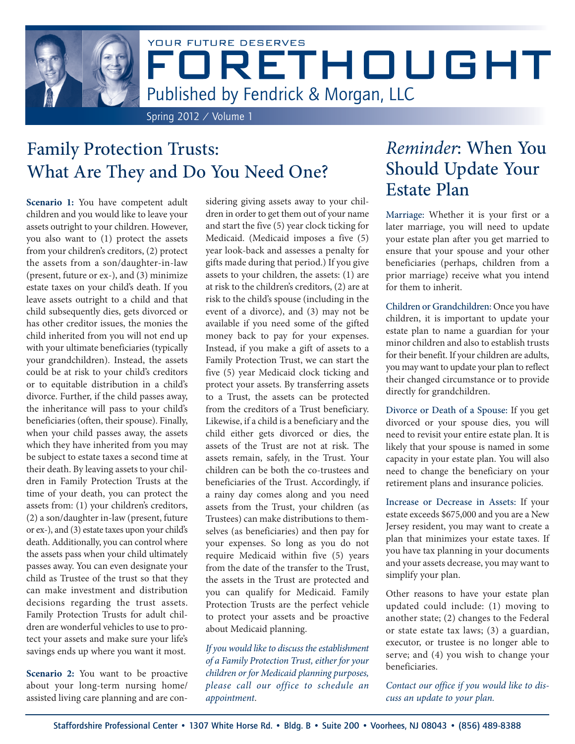

# Family Protection Trusts: What Are They and Do You Need One?

**Scenario 1:** You have competent adult children and you would like to leave your assets outright to your children. However, you also want to (1) protect the assets from your children's creditors, (2) protect the assets from a son/daughter-in-law (present, future or ex-), and (3) minimize estate taxes on your child's death. If you leave assets outright to a child and that child subsequently dies, gets divorced or has other creditor issues, the monies the child inherited from you will not end up with your ultimate beneficiaries (typically your grandchildren). Instead, the assets could be at risk to your child's creditors or to equitable distribution in a child's divorce. Further, if the child passes away, the inheritance will pass to your child's beneficiaries (often, their spouse). Finally, when your child passes away, the assets which they have inherited from you may be subject to estate taxes a second time at their death. By leaving assets to your children in Family Protection Trusts at the time of your death, you can protect the assets from: (1) your children's creditors, (2) a son/daughter in-law (present, future or ex-), and (3) estate taxes upon your child's death. Additionally, you can control where the assets pass when your child ultimately passes away. You can even designate your child as Trustee of the trust so that they can make investment and distribution decisions regarding the trust assets. Family Protection Trusts for adult children are wonderful vehicles to use to protect your assets and make sure your life's savings ends up where you want it most.

**Scenario 2:** You want to be proactive about your long-term nursing home/ assisted living care planning and are considering giving assets away to your children in order to get them out of your name and start the five (5) year clock ticking for Medicaid. (Medicaid imposes a five (5) year look-back and assesses a penalty for gifts made during that period.) If you give assets to your children, the assets: (1) are at risk to the children's creditors, (2) are at risk to the child's spouse (including in the event of a divorce), and (3) may not be available if you need some of the gifted money back to pay for your expenses. Instead, if you make a gift of assets to a Family Protection Trust, we can start the five (5) year Medicaid clock ticking and protect your assets. By transferring assets to a Trust, the assets can be protected from the creditors of a Trust beneficiary. Likewise, if a child is a beneficiary and the child either gets divorced or dies, the assets of the Trust are not at risk. The assets remain, safely, in the Trust. Your children can be both the co-trustees and beneficiaries of the Trust. Accordingly, if a rainy day comes along and you need assets from the Trust, your children (as Trustees) can make distributions to themselves (as beneficiaries) and then pay for your expenses. So long as you do not require Medicaid within five (5) years from the date of the transfer to the Trust, the assets in the Trust are protected and you can qualify for Medicaid. Family Protection Trusts are the perfect vehicle to protect your assets and be proactive about Medicaid planning.

*If you would like to discuss the establishment of a Family Protection Trust, either for your children or for Medicaid planning purposes, please call our office to schedule an appointment*.

# *Reminder*: When You Should Update Your Estate Plan

Marriage: Whether it is your first or a later marriage, you will need to update your estate plan after you get married to ensure that your spouse and your other beneficiaries (perhaps, children from a prior marriage) receive what you intend for them to inherit.

Children or Grandchildren: Once you have children, it is important to update your estate plan to name a guardian for your minor children and also to establish trusts for their benefit. If your children are adults, you may want to update your plan to reflect their changed circumstance or to provide directly for grandchildren.

Divorce or Death of a Spouse: If you get divorced or your spouse dies, you will need to revisit your entire estate plan. It is likely that your spouse is named in some capacity in your estate plan. You will also need to change the beneficiary on your retirement plans and insurance policies.

Increase or Decrease in Assets: If your estate exceeds \$675,000 and you are a New Jersey resident, you may want to create a plan that minimizes your estate taxes. If you have tax planning in your documents and your assets decrease, you may want to simplify your plan.

Other reasons to have your estate plan updated could include: (1) moving to another state; (2) changes to the Federal or state estate tax laws; (3) a guardian, executor, or trustee is no longer able to serve; and (4) you wish to change your beneficiaries.

*Contact our office if you would like to discuss an update to your plan.*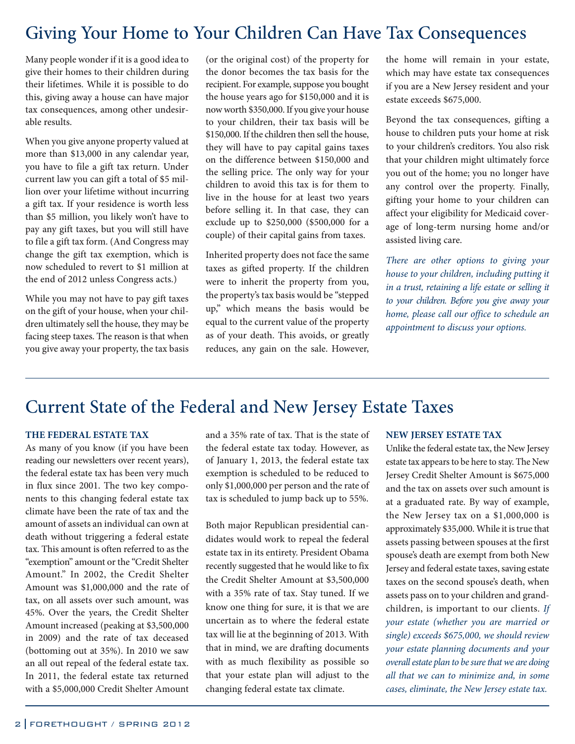### Giving Your Home to Your Children Can Have Tax Consequences

Many people wonder if it is a good idea to give their homes to their children during their lifetimes. While it is possible to do this, giving away a house can have major tax consequences, among other undesirable results.

When you give anyone property valued at more than \$13,000 in any calendar year, you have to file a gift tax return. Under current law you can gift a total of \$5 million over your lifetime without incurring a gift tax. If your residence is worth less than \$5 million, you likely won't have to pay any gift taxes, but you will still have to file a gift tax form. (And Congress may change the gift tax exemption, which is now scheduled to revert to \$1 million at the end of 2012 unless Congress acts.)

While you may not have to pay gift taxes on the gift of your house, when your children ultimately sell the house, they may be facing steep taxes. The reason is that when you give away your property, the tax basis

(or the original cost) of the property for the donor becomes the tax basis for the recipient. For example, suppose you bought the house years ago for \$150,000 and it is now worth \$350,000. If you give your house to your children, their tax basis will be \$150,000. If the children then sell the house, they will have to pay capital gains taxes on the difference between \$150,000 and the selling price. The only way for your children to avoid this tax is for them to live in the house for at least two years before selling it. In that case, they can exclude up to \$250,000 (\$500,000 for a couple) of their capital gains from taxes.

Inherited property does not face the same taxes as gifted property. If the children were to inherit the property from you, the property's tax basis would be "stepped up," which means the basis would be equal to the current value of the property as of your death. This avoids, or greatly reduces, any gain on the sale. However,

the home will remain in your estate, which may have estate tax consequences if you are a New Jersey resident and your estate exceeds \$675,000.

Beyond the tax consequences, gifting a house to children puts your home at risk to your children's creditors. You also risk that your children might ultimately force you out of the home; you no longer have any control over the property. Finally, gifting your home to your children can affect your eligibility for Medicaid coverage of long-term nursing home and/or assisted living care.

*There are other options to giving your house to your children, including putting it in a trust, retaining a life estate or selling it to your children. Before you give away your home, please call our office to schedule an appointment to discuss your options.* 

### Current State of the Federal and New Jersey Estate Taxes

#### **THE FEDERAL ESTATE TAX**

As many of you know (if you have been reading our newsletters over recent years), the federal estate tax has been very much in flux since 2001. The two key components to this changing federal estate tax climate have been the rate of tax and the amount of assets an individual can own at death without triggering a federal estate tax. This amount is often referred to as the "exemption" amount or the "Credit Shelter Amount." In 2002, the Credit Shelter Amount was \$1,000,000 and the rate of tax, on all assets over such amount, was 45%. Over the years, the Credit Shelter Amount increased (peaking at \$3,500,000 in 2009) and the rate of tax deceased (bottoming out at 35%). In 2010 we saw an all out repeal of the federal estate tax. In 2011, the federal estate tax returned with a \$5,000,000 Credit Shelter Amount

and a 35% rate of tax. That is the state of the federal estate tax today. However, as of January 1, 2013, the federal estate tax exemption is scheduled to be reduced to only \$1,000,000 per person and the rate of tax is scheduled to jump back up to 55%.

Both major Republican presidential candidates would work to repeal the federal estate tax in its entirety. President Obama recently suggested that he would like to fix the Credit Shelter Amount at \$3,500,000 with a 35% rate of tax. Stay tuned. If we know one thing for sure, it is that we are uncertain as to where the federal estate tax will lie at the beginning of 2013. With that in mind, we are drafting documents with as much flexibility as possible so that your estate plan will adjust to the changing federal estate tax climate.

#### **NEW JERSEY ESTATE TAX**

Unlike the federal estate tax, the New Jersey estate tax appears to be here to stay. The New Jersey Credit Shelter Amount is \$675,000 and the tax on assets over such amount is at a graduated rate. By way of example, the New Jersey tax on a \$1,000,000 is approximately \$35,000. While it is true that assets passing between spouses at the first spouse's death are exempt from both New Jersey and federal estate taxes, saving estate taxes on the second spouse's death, when assets pass on to your children and grandchildren, is important to our clients. *If your estate (whether you are married or single) exceeds \$675,000, we should review your estate planning documents and your overall estate plan to be sure that we are doing all that we can to minimize and, in some cases, eliminate, the New Jersey estate tax.*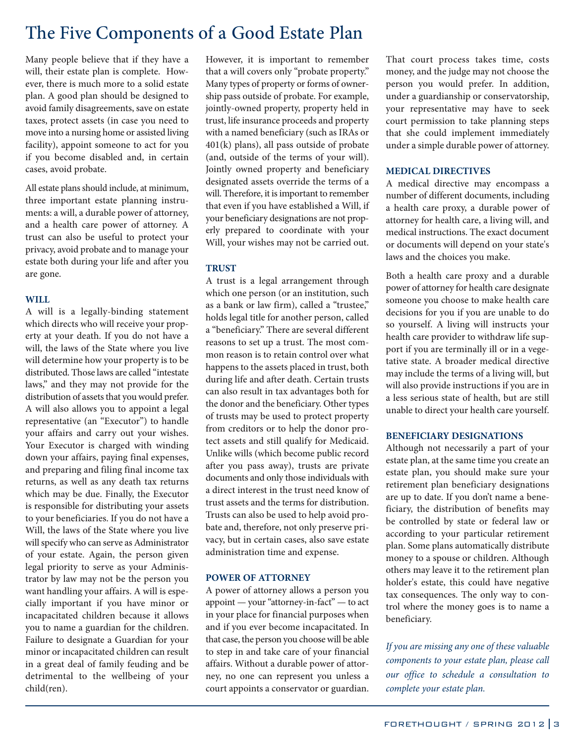### The Five Components of a Good Estate Plan

Many people believe that if they have a will, their estate plan is complete. However, there is much more to a solid estate plan. A good plan should be designed to avoid family disagreements, save on estate taxes, protect assets (in case you need to move into a nursing home or assisted living facility), appoint someone to act for you if you become disabled and, in certain cases, avoid probate.

All estate plans should include, at minimum, three important estate planning instruments: a will, a durable power of attorney, and a health care power of attorney. A trust can also be useful to protect your privacy, avoid probate and to manage your estate both during your life and after you are gone.

#### **WILL**

A will is a legally-binding statement which directs who will receive your property at your death. If you do not have a will, the laws of the State where you live will determine how your property is to be distributed. Those laws are called "intestate laws," and they may not provide for the distribution of assets that you would prefer. A will also allows you to appoint a legal representative (an "Executor") to handle your affairs and carry out your wishes. Your Executor is charged with winding down your affairs, paying final expenses, and preparing and filing final income tax returns, as well as any death tax returns which may be due. Finally, the Executor is responsible for distributing your assets to your beneficiaries. If you do not have a Will, the laws of the State where you live will specify who can serve as Administrator of your estate. Again, the person given legal priority to serve as your Administrator by law may not be the person you want handling your affairs. A will is especially important if you have minor or incapacitated children because it allows you to name a guardian for the children. Failure to designate a Guardian for your minor or incapacitated children can result in a great deal of family feuding and be detrimental to the wellbeing of your child(ren).

However, it is important to remember that a will covers only "probate property." Many types of property or forms of ownership pass outside of probate. For example, jointly-owned property, property held in trust, life insurance proceeds and property with a named beneficiary (such as IRAs or 401(k) plans), all pass outside of probate (and, outside of the terms of your will). Jointly owned property and beneficiary designated assets override the terms of a will. Therefore, it is important to remember that even if you have established a Will, if your beneficiary designations are not properly prepared to coordinate with your Will, your wishes may not be carried out.

#### **TRUST**

A trust is a legal arrangement through which one person (or an institution, such as a bank or law firm), called a "trustee," holds legal title for another person, called a "beneficiary." There are several different reasons to set up a trust. The most common reason is to retain control over what happens to the assets placed in trust, both during life and after death. Certain trusts can also result in tax advantages both for the donor and the beneficiary. Other types of trusts may be used to protect property from creditors or to help the donor protect assets and still qualify for Medicaid. Unlike wills (which become public record after you pass away), trusts are private documents and only those individuals with a direct interest in the trust need know of trust assets and the terms for distribution. Trusts can also be used to help avoid probate and, therefore, not only preserve privacy, but in certain cases, also save estate administration time and expense.

#### **POWER OF ATTORNEY**

A power of attorney allows a person you appoint — your "attorney-in-fact" — to act in your place for financial purposes when and if you ever become incapacitated. In that case, the person you choose will be able to step in and take care of your financial affairs. Without a durable power of attorney, no one can represent you unless a court appoints a conservator or guardian.

That court process takes time, costs money, and the judge may not choose the person you would prefer. In addition, under a guardianship or conservatorship, your representative may have to seek court permission to take planning steps that she could implement immediately under a simple durable power of attorney.

#### **MEDICAL DIRECTIVES**

A medical directive may encompass a number of different documents, including a health care proxy, a durable power of attorney for health care, a living will, and medical instructions. The exact document or documents will depend on your state's laws and the choices you make.

Both a health care proxy and a durable power of attorney for health care designate someone you choose to make health care decisions for you if you are unable to do so yourself. A living will instructs your health care provider to withdraw life support if you are terminally ill or in a vegetative state. A broader medical directive may include the terms of a living will, but will also provide instructions if you are in a less serious state of health, but are still unable to direct your health care yourself.

#### **BENEFICIARY DESIGNATIONS**

Although not necessarily a part of your estate plan, at the same time you create an estate plan, you should make sure your retirement plan beneficiary designations are up to date. If you don't name a beneficiary, the distribution of benefits may be controlled by state or federal law or according to your particular retirement plan. Some plans automatically distribute money to a spouse or children. Although others may leave it to the retirement plan holder's estate, this could have negative tax consequences. The only way to control where the money goes is to name a beneficiary.

*If you are missing any one of these valuable components to your estate plan, please call our office to schedule a consultation to complete your estate plan.*